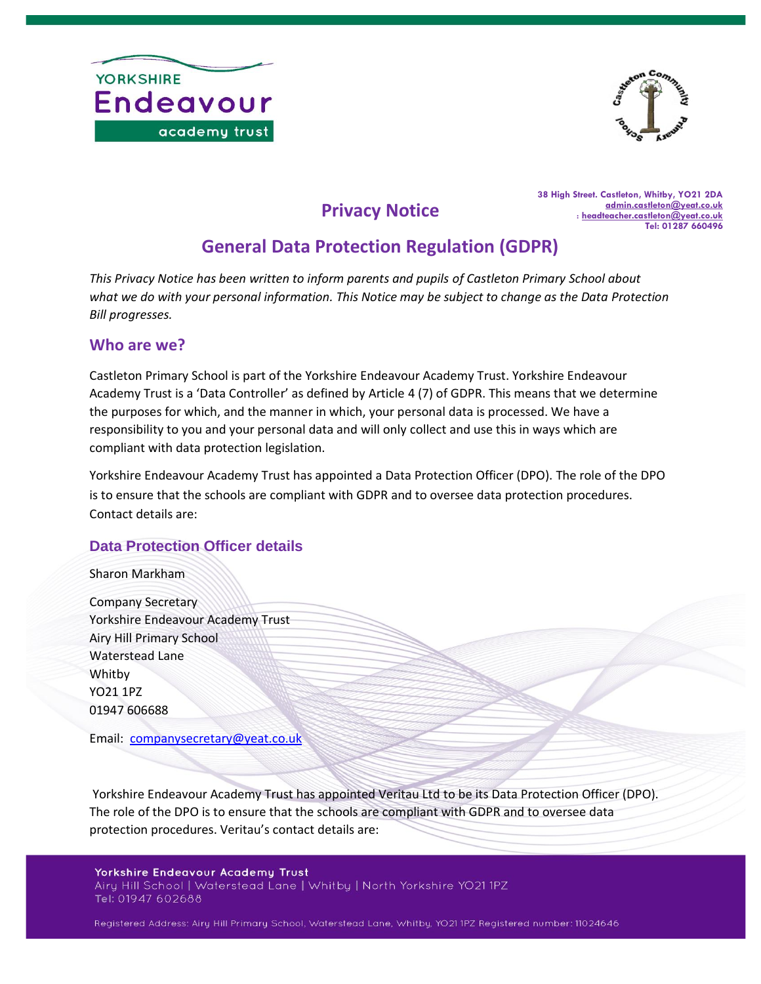



**Privacy Notice**

**38 High Street. Castleton, Whitby, YO21 2DA [admin.castleton@yeat.co.uk](mailto:admin.castleton@yeat.co.uk)** : **[headteacher.castleton@yeat.co.uk](mailto:headteacher.castleton@yeat.co.uk) Tel: 01287 660496**

# **General Data Protection Regulation (GDPR)**

*This Privacy Notice has been written to inform parents and pupils of Castleton Primary School about what we do with your personal information. This Notice may be subject to change as the Data Protection Bill progresses.*

#### **Who are we?**

Castleton Primary School is part of the Yorkshire Endeavour Academy Trust. Yorkshire Endeavour Academy Trust is a 'Data Controller' as defined by Article 4 (7) of GDPR. This means that we determine the purposes for which, and the manner in which, your personal data is processed. We have a responsibility to you and your personal data and will only collect and use this in ways which are compliant with data protection legislation.

Yorkshire Endeavour Academy Trust has appointed a Data Protection Officer (DPO). The role of the DPO is to ensure that the schools are compliant with GDPR and to oversee data protection procedures. Contact details are:

#### **Data Protection Officer details**

Sharon Markham

Company Secretary Yorkshire Endeavour Academy Trust Airy Hill Primary School Waterstead Lane Whitby YO21 1PZ 01947 606688

Email: [companysecretary@yeat.co.uk](mailto:companysecretary@yeat.co.uk)

Yorkshire Endeavour Academy Trust has appointed Veritau Ltd to be its Data Protection Officer (DPO). The role of the DPO is to ensure that the schools are compliant with GDPR and to oversee data protection procedures. Veritau's contact details are:

**Yorkshire Endeavour Academy Trust** Airy Hill School | Waterstead Lane | Whitby | North Yorkshire YO21 1PZ Tel: 01947 602688

Registered Address: Airy Hill Primary School, Waterstead Lane, Whitby, YO21 1PZ Registered number: 11024646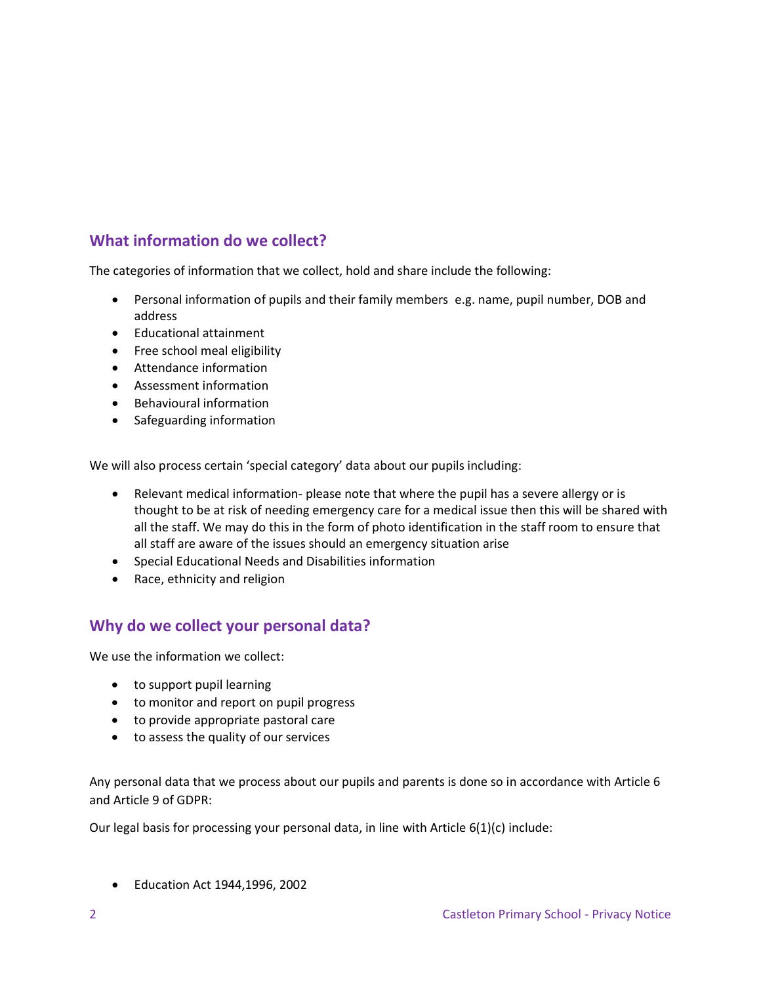# **What information do we collect?**

The categories of information that we collect, hold and share include the following:

- Personal information of pupils and their family members e.g. name, pupil number, DOB and address
- Educational attainment
- Free school meal eligibility
- Attendance information
- Assessment information
- Behavioural information
- Safeguarding information

We will also process certain 'special category' data about our pupils including:

- Relevant medical information- please note that where the pupil has a severe allergy or is thought to be at risk of needing emergency care for a medical issue then this will be shared with all the staff. We may do this in the form of photo identification in the staff room to ensure that all staff are aware of the issues should an emergency situation arise
- Special Educational Needs and Disabilities information
- Race, ethnicity and religion

#### **Why do we collect your personal data?**

We use the information we collect:

- to support pupil learning
- to monitor and report on pupil progress
- to provide appropriate pastoral care
- to assess the quality of our services

Any personal data that we process about our pupils and parents is done so in accordance with Article 6 and Article 9 of GDPR:

Our legal basis for processing your personal data, in line with Article 6(1)(c) include:

• Education Act 1944,1996, 2002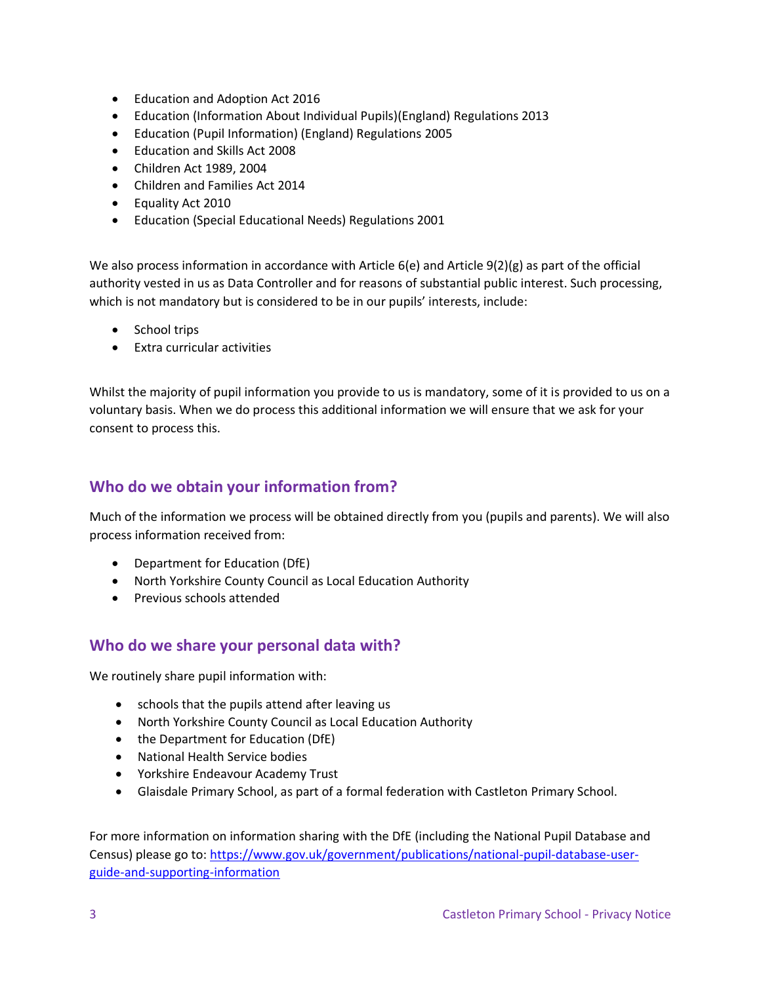- Education and Adoption Act 2016
- Education (Information About Individual Pupils)(England) Regulations 2013
- Education (Pupil Information) (England) Regulations 2005
- Education and Skills Act 2008
- Children Act 1989, 2004
- Children and Families Act 2014
- Equality Act 2010
- Education (Special Educational Needs) Regulations 2001

We also process information in accordance with Article 6(e) and Article 9(2)(g) as part of the official authority vested in us as Data Controller and for reasons of substantial public interest. Such processing, which is not mandatory but is considered to be in our pupils' interests, include:

- School trips
- Extra curricular activities

Whilst the majority of pupil information you provide to us is mandatory, some of it is provided to us on a voluntary basis. When we do process this additional information we will ensure that we ask for your consent to process this.

## **Who do we obtain your information from?**

Much of the information we process will be obtained directly from you (pupils and parents). We will also process information received from:

- Department for Education (DfE)
- North Yorkshire County Council as Local Education Authority
- Previous schools attended

#### **Who do we share your personal data with?**

We routinely share pupil information with:

- schools that the pupils attend after leaving us
- North Yorkshire County Council as Local Education Authority
- the Department for Education (DfE)
- National Health Service bodies
- Yorkshire Endeavour Academy Trust
- Glaisdale Primary School, as part of a formal federation with Castleton Primary School.

For more information on information sharing with the DfE (including the National Pupil Database and Census) please go to: [https://www.gov.uk/government/publications/national-pupil-database-user](https://www.gov.uk/government/publications/national-pupil-database-user-guide-and-supporting-information)[guide-and-supporting-information](https://www.gov.uk/government/publications/national-pupil-database-user-guide-and-supporting-information)